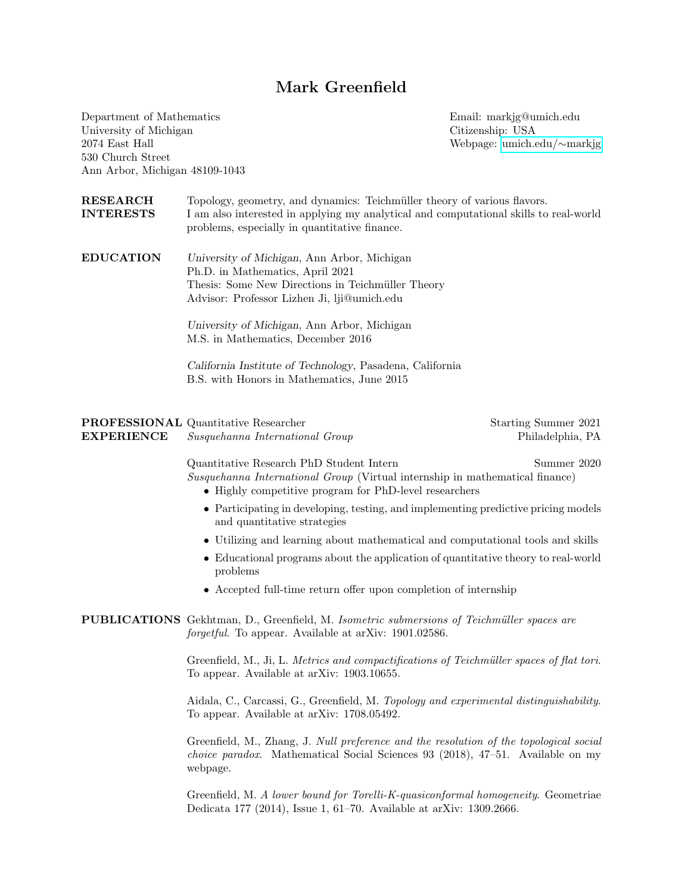## Mark Greenfield

Department of Mathematics University of Michigan 2074 East Hall 530 Church Street Ann Arbor, Michigan 48109-1043 Email: markjg@umich.edu Citizenship: USA Webpage: [umich.edu/](http://umich.edu/~markjg/)∼markjg

| <b>RESEARCH</b><br><b>INTERESTS</b> | Topology, geometry, and dynamics: Teichmüller theory of various flavors.<br>I am also interested in applying my analytical and computational skills to real-world<br>problems, especially in quantitative finance. |                                          |  |
|-------------------------------------|--------------------------------------------------------------------------------------------------------------------------------------------------------------------------------------------------------------------|------------------------------------------|--|
| <b>EDUCATION</b>                    | University of Michigan, Ann Arbor, Michigan<br>Ph.D. in Mathematics, April 2021<br>Thesis: Some New Directions in Teichmüller Theory<br>Advisor: Professor Lizhen Ji, lji@umich.edu                                |                                          |  |
|                                     | University of Michigan, Ann Arbor, Michigan<br>M.S. in Mathematics, December 2016                                                                                                                                  |                                          |  |
|                                     | California Institute of Technology, Pasadena, California<br>B.S. with Honors in Mathematics, June 2015                                                                                                             |                                          |  |
| <b>EXPERIENCE</b>                   | <b>PROFESSIONAL</b> Quantitative Researcher<br>Susquehanna International Group                                                                                                                                     | Starting Summer 2021<br>Philadelphia, PA |  |
|                                     | Quantitative Research PhD Student Intern<br>Summer 2020<br>Susquehanna International Group (Virtual internship in mathematical finance)<br>• Highly competitive program for PhD-level researchers                  |                                          |  |
|                                     | • Participating in developing, testing, and implementing predictive pricing models<br>and quantitative strategies                                                                                                  |                                          |  |
|                                     | • Utilizing and learning about mathematical and computational tools and skills                                                                                                                                     |                                          |  |
|                                     | • Educational programs about the application of quantitative theory to real-world<br>problems                                                                                                                      |                                          |  |
|                                     | • Accepted full-time return offer upon completion of internship                                                                                                                                                    |                                          |  |
|                                     | PUBLICATIONS Gekhtman, D., Greenfield, M. Isometric submersions of Teichmüller spaces are<br>forgetful. To appear. Available at arXiv: 1901.02586.                                                                 |                                          |  |
|                                     | Greenfield, M., Ji, L. Metrics and compactifications of Teichmüller spaces of flat tori.<br>To appear. Available at arXiv: 1903.10655.                                                                             |                                          |  |
|                                     | Aidala, C., Carcassi, G., Greenfield, M. Topology and experimental distinguishability.<br>To appear. Available at arXiv: 1708.05492.                                                                               |                                          |  |
|                                     | Greenfield, M., Zhang, J. Null preference and the resolution of the topological social<br><i>choice paradox.</i> Mathematical Social Sciences 93 (2018), 47–51. Available on my<br>webpage.                        |                                          |  |

Greenfield, M. A lower bound for Torelli-K-quasiconformal homogeneity. Geometriae Dedicata 177 (2014), Issue 1, 61–70. Available at arXiv: 1309.2666.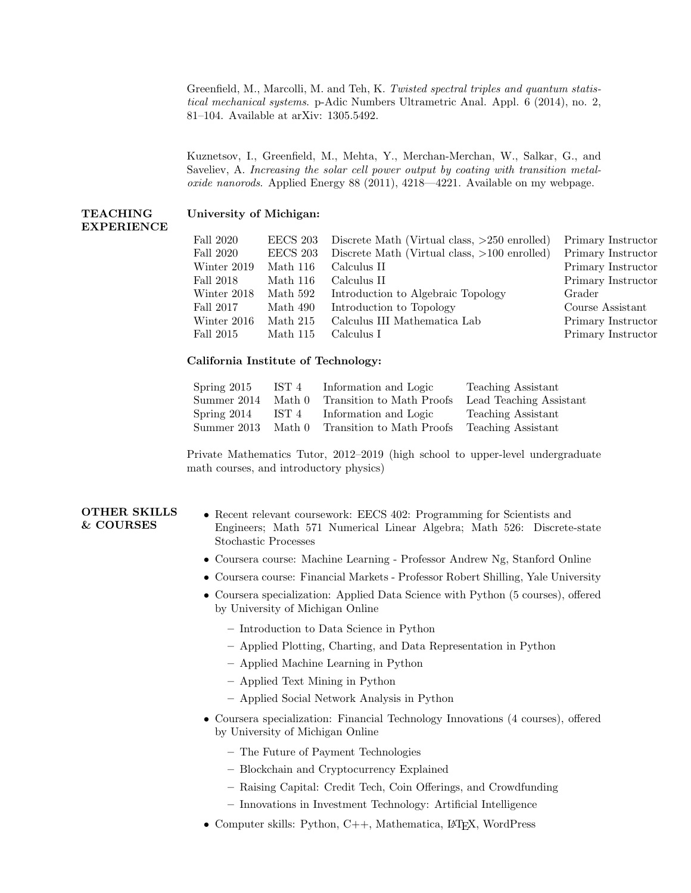Greenfield, M., Marcolli, M. and Teh, K. Twisted spectral triples and quantum statistical mechanical systems. p-Adic Numbers Ultrametric Anal. Appl. 6 (2014), no. 2, 81–104. Available at arXiv: 1305.5492.

Kuznetsov, I., Greenfield, M., Mehta, Y., Merchan-Merchan, W., Salkar, G., and Saveliev, A. Increasing the solar cell power output by coating with transition metaloxide nanorods. Applied Energy 88 (2011), 4218—4221. Available on my webpage.

## TEACHING EXPERIENCE University of Michigan:

| EECS 203 |                                                | Primary Instructor                           |
|----------|------------------------------------------------|----------------------------------------------|
| EECS 203 | Discrete Math (Virtual class, $>100$ enrolled) | Primary Instructor                           |
| Math 116 | Calculus II                                    | Primary Instructor                           |
| Math 116 | Calculus II                                    | Primary Instructor                           |
| Math 592 | Introduction to Algebraic Topology             | Grader                                       |
| Math 490 | Introduction to Topology                       | Course Assistant                             |
| Math 215 | Calculus III Mathematica Lab                   | Primary Instructor                           |
| Math 115 | Calculus I                                     | Primary Instructor                           |
|          |                                                | Discrete Math (Virtual class, >250 enrolled) |

## California Institute of Technology:

| Spring $2015$ | IST 4  | Information and Logic     | Teaching Assistant      |
|---------------|--------|---------------------------|-------------------------|
| Summer 2014   | Math 0 | Transition to Math Proofs | Lead Teaching Assistant |
| Spring 2014   | IST 4  | Information and Logic     | Teaching Assistant      |
| Summer 2013   | Math 0 | Transition to Math Proofs | Teaching Assistant      |

Private Mathematics Tutor, 2012–2019 (high school to upper-level undergraduate math courses, and introductory physics)

## OTHER SKILLS & COURSES

- Recent relevant coursework: EECS 402: Programming for Scientists and Engineers; Math 571 Numerical Linear Algebra; Math 526: Discrete-state Stochastic Processes
- Coursera course: Machine Learning Professor Andrew Ng, Stanford Online
- Coursera course: Financial Markets Professor Robert Shilling, Yale University
- Coursera specialization: Applied Data Science with Python (5 courses), offered by University of Michigan Online
	- Introduction to Data Science in Python
	- Applied Plotting, Charting, and Data Representation in Python
	- Applied Machine Learning in Python
	- Applied Text Mining in Python
	- Applied Social Network Analysis in Python
- Coursera specialization: Financial Technology Innovations (4 courses), offered by University of Michigan Online
	- The Future of Payment Technologies
	- Blockchain and Cryptocurrency Explained
	- Raising Capital: Credit Tech, Coin Offerings, and Crowdfunding
	- Innovations in Investment Technology: Artificial Intelligence
- Computer skills: Python,  $C++$ , Mathematica, L<sup>AT</sup>F<sub>X</sub>, WordPress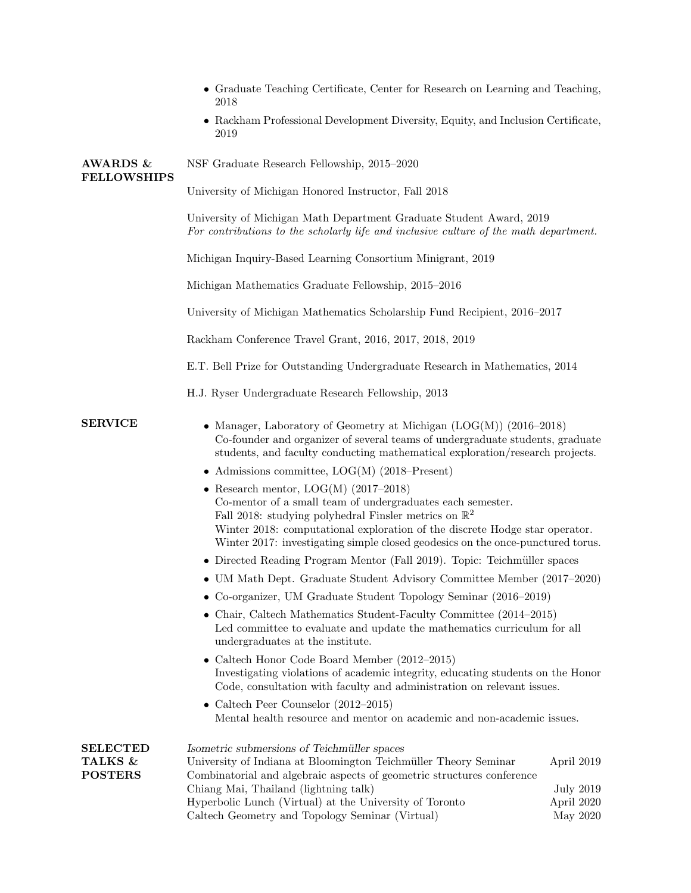|                                              | • Graduate Teaching Certificate, Center for Research on Learning and Teaching,<br>2018                                                                                                                                                                                                                                                                                                                                                                                                                                                                                                                                                                                                                                                                                                                                                                                                                                                                                                                                                                                                                                                                                                                                                                                                                                                                                                     |                                                   |  |
|----------------------------------------------|--------------------------------------------------------------------------------------------------------------------------------------------------------------------------------------------------------------------------------------------------------------------------------------------------------------------------------------------------------------------------------------------------------------------------------------------------------------------------------------------------------------------------------------------------------------------------------------------------------------------------------------------------------------------------------------------------------------------------------------------------------------------------------------------------------------------------------------------------------------------------------------------------------------------------------------------------------------------------------------------------------------------------------------------------------------------------------------------------------------------------------------------------------------------------------------------------------------------------------------------------------------------------------------------------------------------------------------------------------------------------------------------|---------------------------------------------------|--|
|                                              | • Rackham Professional Development Diversity, Equity, and Inclusion Certificate,<br>2019                                                                                                                                                                                                                                                                                                                                                                                                                                                                                                                                                                                                                                                                                                                                                                                                                                                                                                                                                                                                                                                                                                                                                                                                                                                                                                   |                                                   |  |
| <b>AWARDS &amp;</b>                          | NSF Graduate Research Fellowship, 2015-2020                                                                                                                                                                                                                                                                                                                                                                                                                                                                                                                                                                                                                                                                                                                                                                                                                                                                                                                                                                                                                                                                                                                                                                                                                                                                                                                                                |                                                   |  |
| <b>FELLOWSHIPS</b>                           | University of Michigan Honored Instructor, Fall 2018                                                                                                                                                                                                                                                                                                                                                                                                                                                                                                                                                                                                                                                                                                                                                                                                                                                                                                                                                                                                                                                                                                                                                                                                                                                                                                                                       |                                                   |  |
|                                              | University of Michigan Math Department Graduate Student Award, 2019<br>For contributions to the scholarly life and inclusive culture of the math department.                                                                                                                                                                                                                                                                                                                                                                                                                                                                                                                                                                                                                                                                                                                                                                                                                                                                                                                                                                                                                                                                                                                                                                                                                               |                                                   |  |
|                                              | Michigan Inquiry-Based Learning Consortium Minigrant, 2019                                                                                                                                                                                                                                                                                                                                                                                                                                                                                                                                                                                                                                                                                                                                                                                                                                                                                                                                                                                                                                                                                                                                                                                                                                                                                                                                 |                                                   |  |
|                                              | Michigan Mathematics Graduate Fellowship, 2015-2016                                                                                                                                                                                                                                                                                                                                                                                                                                                                                                                                                                                                                                                                                                                                                                                                                                                                                                                                                                                                                                                                                                                                                                                                                                                                                                                                        |                                                   |  |
|                                              | University of Michigan Mathematics Scholarship Fund Recipient, 2016–2017                                                                                                                                                                                                                                                                                                                                                                                                                                                                                                                                                                                                                                                                                                                                                                                                                                                                                                                                                                                                                                                                                                                                                                                                                                                                                                                   |                                                   |  |
|                                              | Rackham Conference Travel Grant, 2016, 2017, 2018, 2019                                                                                                                                                                                                                                                                                                                                                                                                                                                                                                                                                                                                                                                                                                                                                                                                                                                                                                                                                                                                                                                                                                                                                                                                                                                                                                                                    |                                                   |  |
|                                              | E.T. Bell Prize for Outstanding Undergraduate Research in Mathematics, 2014                                                                                                                                                                                                                                                                                                                                                                                                                                                                                                                                                                                                                                                                                                                                                                                                                                                                                                                                                                                                                                                                                                                                                                                                                                                                                                                |                                                   |  |
|                                              | H.J. Ryser Undergraduate Research Fellowship, 2013                                                                                                                                                                                                                                                                                                                                                                                                                                                                                                                                                                                                                                                                                                                                                                                                                                                                                                                                                                                                                                                                                                                                                                                                                                                                                                                                         |                                                   |  |
| <b>SERVICE</b>                               | • Manager, Laboratory of Geometry at Michigan $(LOG(M))$ (2016–2018)<br>Co-founder and organizer of several teams of undergraduate students, graduate<br>students, and faculty conducting mathematical exploration/research projects.<br>• Admissions committee, $LOG(M)$ (2018–Present)<br>• Research mentor, $LOG(M)$ (2017–2018)<br>Co-mentor of a small team of undergraduates each semester.<br>Fall 2018: studying polyhedral Finsler metrics on $\mathbb{R}^2$<br>Winter 2018: computational exploration of the discrete Hodge star operator.<br>Winter 2017: investigating simple closed geodesics on the once-punctured torus.<br>• Directed Reading Program Mentor (Fall 2019). Topic: Teichmüller spaces<br>• UM Math Dept. Graduate Student Advisory Committee Member (2017–2020)<br>• Co-organizer, UM Graduate Student Topology Seminar (2016–2019)<br>• Chair, Caltech Mathematics Student-Faculty Committee (2014–2015)<br>Led committee to evaluate and update the mathematics curriculum for all<br>undergraduates at the institute.<br>• Caltech Honor Code Board Member $(2012-2015)$<br>Investigating violations of academic integrity, educating students on the Honor<br>Code, consultation with faculty and administration on relevant issues.<br>• Caltech Peer Counselor $(2012-2015)$<br>Mental health resource and mentor on academic and non-academic issues. |                                                   |  |
| <b>SELECTED</b><br>TALKS &<br><b>POSTERS</b> | Isometric submersions of Teichmüller spaces<br>University of Indiana at Bloomington Teichmüller Theory Seminar<br>Combinatorial and algebraic aspects of geometric structures conference<br>Chiang Mai, Thailand (lightning talk)<br>Hyperbolic Lunch (Virtual) at the University of Toronto<br>Caltech Geometry and Topology Seminar (Virtual)                                                                                                                                                                                                                                                                                                                                                                                                                                                                                                                                                                                                                                                                                                                                                                                                                                                                                                                                                                                                                                            | April 2019<br>July 2019<br>April 2020<br>May 2020 |  |